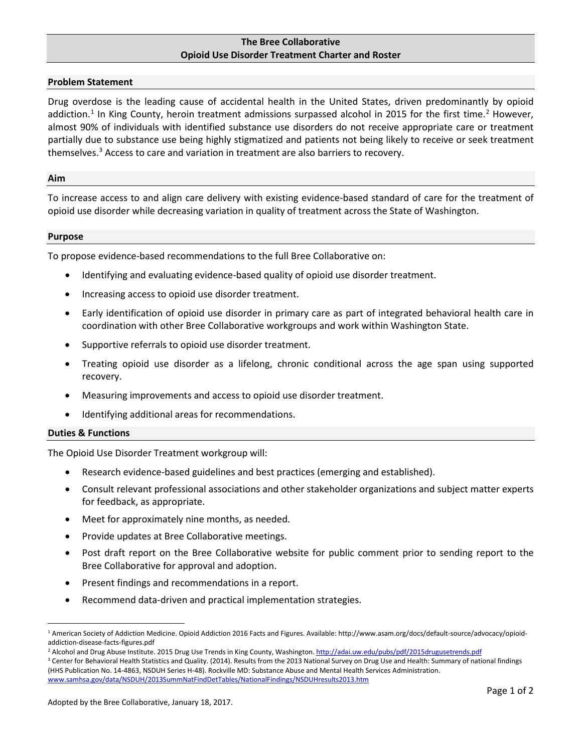# **The Bree Collaborative Opioid Use Disorder Treatment Charter and Roster**

### **Problem Statement**

Drug overdose is the leading cause of accidental health in the United States, driven predominantly by opioid addiction.<sup>[1](#page-0-0)</sup> In King County, heroin treatment admissions surpassed alcohol in 2015 for the first time.<sup>2</sup> However, almost 90% of individuals with identified substance use disorders do not receive appropriate care or treatment partially due to substance use being highly stigmatized and patients not being likely to receive or seek treatment themselves. [3](#page-0-2) Access to care and variation in treatment are also barriers to recovery.

#### **Aim**

To increase access to and align care delivery with existing evidence-based standard of care for the treatment of opioid use disorder while decreasing variation in quality of treatment across the State of Washington.

### **Purpose**

To propose evidence-based recommendations to the full Bree Collaborative on:

- Identifying and evaluating evidence-based quality of opioid use disorder treatment.
- Increasing access to opioid use disorder treatment.
- Early identification of opioid use disorder in primary care as part of integrated behavioral health care in coordination with other Bree Collaborative workgroups and work within Washington State.
- Supportive referrals to opioid use disorder treatment.
- Treating opioid use disorder as a lifelong, chronic conditional across the age span using supported recovery.
- Measuring improvements and access to opioid use disorder treatment.
- Identifying additional areas for recommendations.

## **Duties & Functions**

The Opioid Use Disorder Treatment workgroup will:

- Research evidence-based guidelines and best practices (emerging and established).
- Consult relevant professional associations and other stakeholder organizations and subject matter experts for feedback, as appropriate.
- Meet for approximately nine months, as needed.
- Provide updates at Bree Collaborative meetings.
- Post draft report on the Bree Collaborative website for public comment prior to sending report to the Bree Collaborative for approval and adoption.
- Present findings and recommendations in a report.
- Recommend data-driven and practical implementation strategies.

<span id="page-0-0"></span> <sup>1</sup> American Society of Addiction Medicine. Opioid Addiction 2016 Facts and Figures. Available: http://www.asam.org/docs/default-source/advocacy/opioidaddiction-disease-facts-figures.pdf

<sup>&</sup>lt;sup>2</sup> Alcohol and Drug Abuse Institute. 2015 Drug Use Trends in King County, Washington[. http://adai.uw.edu/pubs/pdf/2015drugusetrends.pdf](http://adai.uw.edu/pubs/pdf/2015drugusetrends.pdf)

<span id="page-0-2"></span><span id="page-0-1"></span><sup>&</sup>lt;sup>3</sup> Center for Behavioral Health Statistics and Quality. (2014). Results from the 2013 National Survey on Drug Use and Health: Summary of national findings (HHS Publication No. 14-4863, NSDUH Series H-48). Rockville MD: Substance Abuse and Mental Health Services Administration. [www.samhsa.gov/data/NSDUH/2013SummNatFindDetTables/NationalFindings/NSDUHresults2013.htm](http://www.samhsa.gov/data/NSDUH/2013SummNatFindDetTables/NationalFindings/NSDUHresults2013.htm)